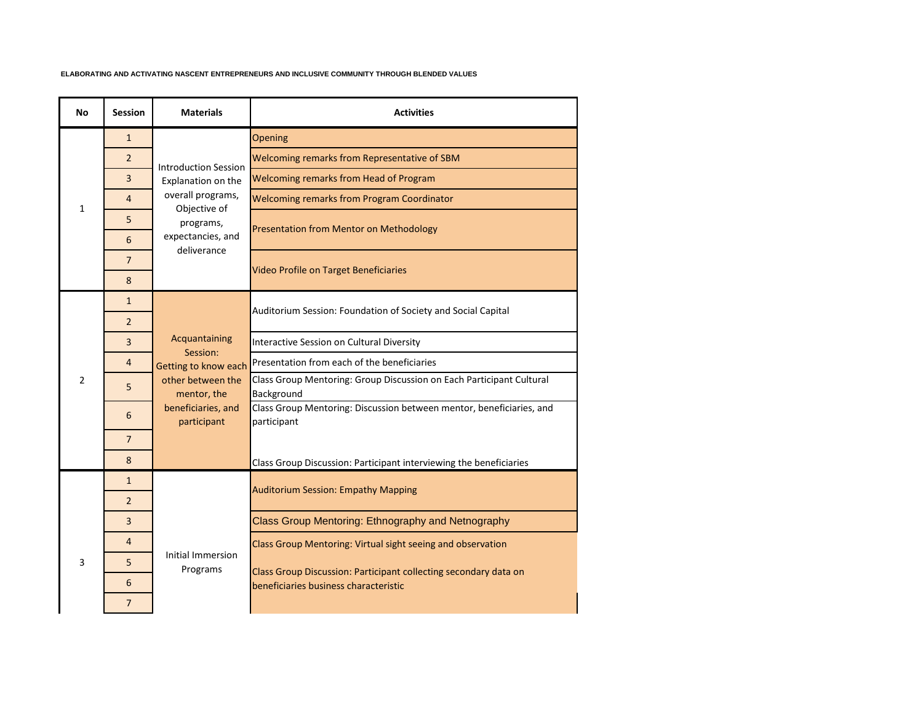## **ELABORATING AND ACTIVATING NASCENT ENTREPRENEURS AND INCLUSIVE COMMUNITY THROUGH BLENDED VALUES**

| <b>No</b>      | <b>Session</b> | <b>Materials</b>                                                                                                         | <b>Activities</b>                                                                                         |
|----------------|----------------|--------------------------------------------------------------------------------------------------------------------------|-----------------------------------------------------------------------------------------------------------|
|                | $\mathbf{1}$   |                                                                                                                          | Opening                                                                                                   |
|                | $\overline{2}$ | <b>Introduction Session</b><br>Explanation on the<br>overall programs,<br>Objective of<br>programs,<br>expectancies, and | Welcoming remarks from Representative of SBM                                                              |
|                | 3              |                                                                                                                          | Welcoming remarks from Head of Program                                                                    |
| $\mathbf{1}$   | 4              |                                                                                                                          | <b>Welcoming remarks from Program Coordinator</b>                                                         |
|                | 5              |                                                                                                                          | <b>Presentation from Mentor on Methodology</b>                                                            |
|                | 6              |                                                                                                                          |                                                                                                           |
|                | $\overline{7}$ | deliverance                                                                                                              |                                                                                                           |
|                | 8              |                                                                                                                          | Video Profile on Target Beneficiaries                                                                     |
|                | $\mathbf{1}$   |                                                                                                                          | Auditorium Session: Foundation of Society and Social Capital                                              |
|                | $\overline{2}$ |                                                                                                                          |                                                                                                           |
|                | 3              | Acquantaining<br>Session:                                                                                                | Interactive Session on Cultural Diversity                                                                 |
|                | $\overline{4}$ | Getting to know each<br>other between the<br>mentor, the<br>beneficiaries, and<br>participant                            | Presentation from each of the beneficiaries                                                               |
| $\overline{2}$ | 5              |                                                                                                                          | Class Group Mentoring: Group Discussion on Each Participant Cultural<br>Background                        |
|                | 6              |                                                                                                                          | Class Group Mentoring: Discussion between mentor, beneficiaries, and<br>participant                       |
|                | $\overline{7}$ |                                                                                                                          |                                                                                                           |
|                | 8              |                                                                                                                          | Class Group Discussion: Participant interviewing the beneficiaries                                        |
|                | $\mathbf{1}$   |                                                                                                                          | <b>Auditorium Session: Empathy Mapping</b>                                                                |
|                | $\overline{2}$ |                                                                                                                          |                                                                                                           |
| 3              | 3              | Initial Immersion<br>Programs                                                                                            | Class Group Mentoring: Ethnography and Netnography                                                        |
|                | 4              |                                                                                                                          | Class Group Mentoring: Virtual sight seeing and observation                                               |
|                | 5              |                                                                                                                          | Class Group Discussion: Participant collecting secondary data on<br>beneficiaries business characteristic |
|                | 6              |                                                                                                                          |                                                                                                           |
|                | 7              |                                                                                                                          |                                                                                                           |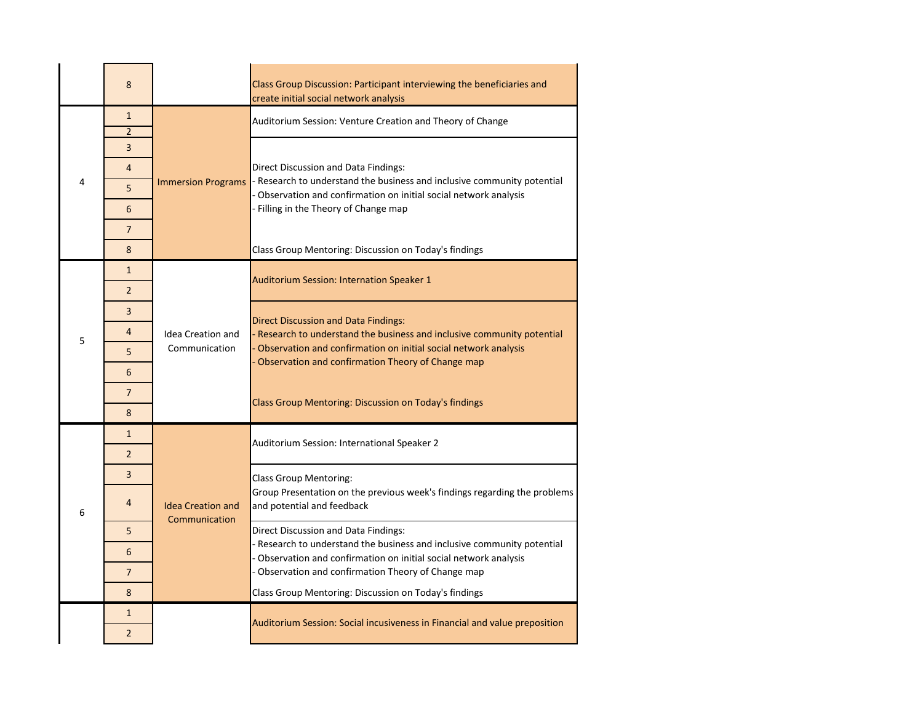|   | 8                   |                                           | Class Group Discussion: Participant interviewing the beneficiaries and<br>create initial social network analysis                                                                                                                               |
|---|---------------------|-------------------------------------------|------------------------------------------------------------------------------------------------------------------------------------------------------------------------------------------------------------------------------------------------|
| 4 | $\mathbf{1}$        |                                           | Auditorium Session: Venture Creation and Theory of Change                                                                                                                                                                                      |
|   | $\overline{2}$      |                                           |                                                                                                                                                                                                                                                |
|   | 3<br>$\overline{4}$ | <b>Immersion Programs</b>                 | Direct Discussion and Data Findings:<br>- Research to understand the business and inclusive community potential<br>Observation and confirmation on initial social network analysis<br>- Filling in the Theory of Change map                    |
|   | 5                   |                                           |                                                                                                                                                                                                                                                |
|   | 6                   |                                           |                                                                                                                                                                                                                                                |
|   | $\overline{7}$      |                                           |                                                                                                                                                                                                                                                |
|   | 8                   |                                           | Class Group Mentoring: Discussion on Today's findings                                                                                                                                                                                          |
|   | $\mathbf{1}$        |                                           |                                                                                                                                                                                                                                                |
|   | $\overline{2}$      |                                           | <b>Auditorium Session: Internation Speaker 1</b>                                                                                                                                                                                               |
|   | 3                   |                                           | <b>Direct Discussion and Data Findings:</b><br>- Research to understand the business and inclusive community potential<br>Observation and confirmation on initial social network analysis<br>Observation and confirmation Theory of Change map |
| 5 | $\overline{4}$      | <b>Idea Creation and</b><br>Communication |                                                                                                                                                                                                                                                |
|   | 5                   |                                           |                                                                                                                                                                                                                                                |
|   | 6                   |                                           |                                                                                                                                                                                                                                                |
|   | 7                   |                                           | Class Group Mentoring: Discussion on Today's findings                                                                                                                                                                                          |
|   | 8                   |                                           |                                                                                                                                                                                                                                                |
|   | $\mathbf{1}$        | <b>Idea Creation and</b><br>Communication | Auditorium Session: International Speaker 2                                                                                                                                                                                                    |
|   | $\overline{2}$      |                                           |                                                                                                                                                                                                                                                |
|   | 3                   |                                           | <b>Class Group Mentoring:</b><br>Group Presentation on the previous week's findings regarding the problems<br>and potential and feedback                                                                                                       |
| 6 | $\overline{4}$      |                                           |                                                                                                                                                                                                                                                |
|   | 5                   |                                           | Direct Discussion and Data Findings:<br>- Research to understand the business and inclusive community potential<br>- Observation and confirmation on initial social network analysis<br>- Observation and confirmation Theory of Change map    |
|   | 6                   |                                           |                                                                                                                                                                                                                                                |
|   | $\overline{7}$      |                                           |                                                                                                                                                                                                                                                |
|   | 8                   |                                           | Class Group Mentoring: Discussion on Today's findings                                                                                                                                                                                          |
|   | $\mathbf{1}$        |                                           | Auditorium Session: Social incusiveness in Financial and value preposition                                                                                                                                                                     |
|   | $\overline{2}$      |                                           |                                                                                                                                                                                                                                                |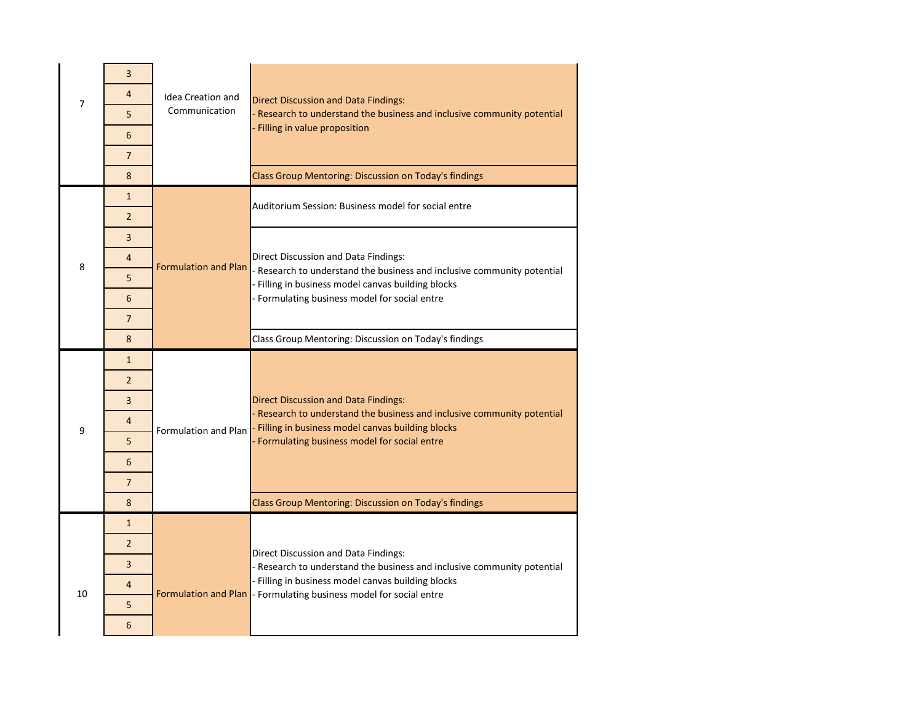|    | 3              |                          |                                                                                                                               |
|----|----------------|--------------------------|-------------------------------------------------------------------------------------------------------------------------------|
| 7  | $\overline{4}$ | <b>Idea Creation and</b> | <b>Direct Discussion and Data Findings:</b>                                                                                   |
|    | 5              | Communication            | - Research to understand the business and inclusive community potential<br>- Filling in value proposition                     |
|    | 6              |                          |                                                                                                                               |
|    | $\overline{7}$ |                          |                                                                                                                               |
|    | 8              |                          | Class Group Mentoring: Discussion on Today's findings                                                                         |
| 8  | $\mathbf{1}$   |                          | Auditorium Session: Business model for social entre                                                                           |
|    | $\overline{2}$ |                          |                                                                                                                               |
|    | $\overline{3}$ |                          | Direct Discussion and Data Findings:<br>- Research to understand the business and inclusive community potential               |
|    | $\overline{4}$ | Formulation and Plan     |                                                                                                                               |
|    | 5              |                          | - Filling in business model canvas building blocks                                                                            |
|    | 6              |                          | - Formulating business model for social entre                                                                                 |
|    | $\overline{7}$ |                          |                                                                                                                               |
|    | 8              |                          | Class Group Mentoring: Discussion on Today's findings                                                                         |
|    |                |                          |                                                                                                                               |
|    | $\mathbf{1}$   |                          |                                                                                                                               |
|    | $\mathcal{P}$  |                          |                                                                                                                               |
|    | 3              |                          | <b>Direct Discussion and Data Findings:</b>                                                                                   |
| 9  | 4              | Formulation and Plan     | - Research to understand the business and inclusive community potential<br>- Filling in business model canvas building blocks |
|    | 5              |                          | - Formulating business model for social entre                                                                                 |
|    | 6              |                          |                                                                                                                               |
|    | $\overline{7}$ |                          |                                                                                                                               |
|    | 8              |                          | Class Group Mentoring: Discussion on Today's findings                                                                         |
|    | $\mathbf{1}$   |                          |                                                                                                                               |
|    | $\overline{2}$ |                          | Direct Discussion and Data Findings:                                                                                          |
|    | $\overline{3}$ |                          | - Research to understand the business and inclusive community potential                                                       |
| 10 | 4              |                          | - Filling in business model canvas building blocks<br>Formulation and Plan  - Formulating business model for social entre     |
|    | 5<br>6         |                          |                                                                                                                               |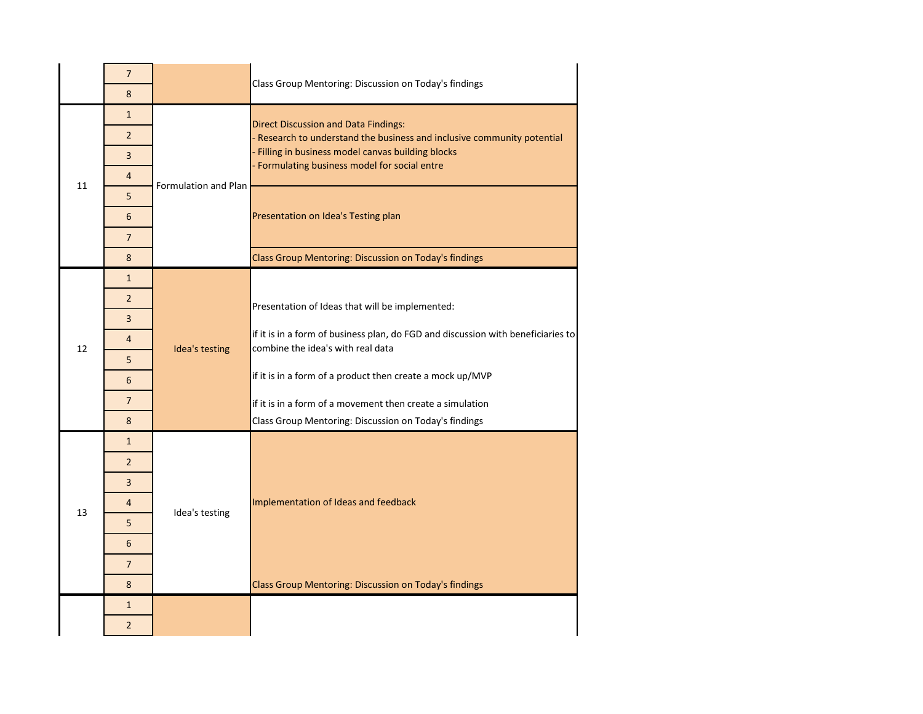|    | $\overline{7}$ |                      | Class Group Mentoring: Discussion on Today's findings                                                                                                                                                                         |
|----|----------------|----------------------|-------------------------------------------------------------------------------------------------------------------------------------------------------------------------------------------------------------------------------|
|    | 8              |                      |                                                                                                                                                                                                                               |
| 11 | $\mathbf{1}$   | Formulation and Plan | <b>Direct Discussion and Data Findings:</b><br>- Research to understand the business and inclusive community potential<br>- Filling in business model canvas building blocks<br>- Formulating business model for social entre |
|    | $\overline{2}$ |                      |                                                                                                                                                                                                                               |
|    | 3              |                      |                                                                                                                                                                                                                               |
|    | 4              |                      |                                                                                                                                                                                                                               |
|    | 5              |                      | Presentation on Idea's Testing plan                                                                                                                                                                                           |
|    | 6              |                      |                                                                                                                                                                                                                               |
|    | $\overline{7}$ |                      |                                                                                                                                                                                                                               |
|    | 8              |                      | Class Group Mentoring: Discussion on Today's findings                                                                                                                                                                         |
|    | $\mathbf{1}$   |                      |                                                                                                                                                                                                                               |
|    | $\overline{2}$ |                      | Presentation of Ideas that will be implemented:                                                                                                                                                                               |
|    | 3              |                      |                                                                                                                                                                                                                               |
| 12 | $\overline{4}$ | Idea's testing       | if it is in a form of business plan, do FGD and discussion with beneficiaries to<br>combine the idea's with real data                                                                                                         |
|    | 5              |                      |                                                                                                                                                                                                                               |
|    | 6              |                      | if it is in a form of a product then create a mock up/MVP                                                                                                                                                                     |
|    | $\overline{7}$ |                      | if it is in a form of a movement then create a simulation                                                                                                                                                                     |
|    | 8              |                      | Class Group Mentoring: Discussion on Today's findings                                                                                                                                                                         |
|    | $\mathbf{1}$   | Idea's testing       | Implementation of Ideas and feedback                                                                                                                                                                                          |
|    | $\overline{2}$ |                      |                                                                                                                                                                                                                               |
|    | 3              |                      |                                                                                                                                                                                                                               |
| 13 | 4              |                      |                                                                                                                                                                                                                               |
|    | 5              |                      |                                                                                                                                                                                                                               |
|    | 6              |                      |                                                                                                                                                                                                                               |
|    | $\overline{7}$ |                      |                                                                                                                                                                                                                               |
|    | 8              |                      | Class Group Mentoring: Discussion on Today's findings                                                                                                                                                                         |
|    | $\mathbf{1}$   |                      |                                                                                                                                                                                                                               |
|    | $\overline{2}$ |                      |                                                                                                                                                                                                                               |